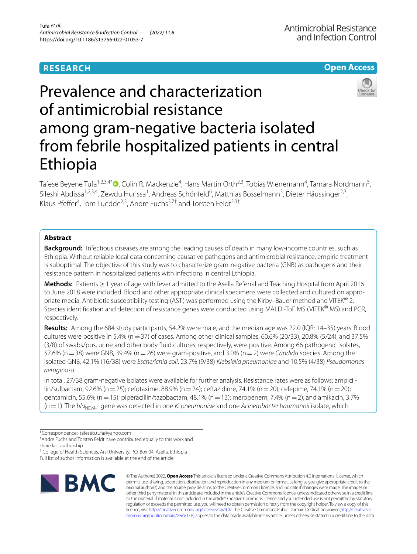## **RESEARCH**

**Open Access**

# Prevalence and characterization of antimicrobial resistance among gram-negative bacteria isolated from febrile hospitalized patients in central Ethiopia

Tafese Beyene Tufa<sup>1,2,3,4[\\*](http://orcid.org/0000-0002-9505-9341)</sup>®, Colin R. Mackenzie<sup>4</sup>, Hans Martin Orth<sup>2,3</sup>, Tobias Wienemann<sup>4</sup>, Tamara Nordmann<sup>5</sup>, Sileshi Abdissa<sup>1,2,3,4</sup>, Zewdu Hurissa<sup>1</sup>, Andreas Schönfeld<sup>6</sup>, Matthias Bosselmann<sup>3</sup>, Dieter Häussinger<sup>2,3</sup>, Klaus Pfeffer<sup>4</sup>, Tom Luedde<sup>2,3</sup>, Andre Fuchs<sup>3,7†</sup> and Torsten Feldt<sup>2,3†</sup>

## **Abstract**

**Background:** Infectious diseases are among the leading causes of death in many low-income countries, such as Ethiopia. Without reliable local data concerning causative pathogens and antimicrobial resistance, empiric treatment is suboptimal. The objective of this study was to characterize gram-negative bacteria (GNB) as pathogens and their resistance pattern in hospitalized patients with infections in central Ethiopia.

**Methods:** Patients ≥1 year of age with fever admitted to the Asella Referral and Teaching Hospital from April 2016 to June 2018 were included. Blood and other appropriate clinical specimens were collected and cultured on appropriate media. Antibiotic susceptibility testing (AST) was performed using the Kirby–Bauer method and VITEK® 2. Species identifcation and detection of resistance genes were conducted using MALDI-ToF MS (VITEK® MS) and PCR, respectively.

**Results:** Among the 684 study participants, 54.2% were male, and the median age was 22.0 (IQR: 14–35) years. Blood cultures were positive in 5.4% ( $n=37$ ) of cases. Among other clinical samples, 60.6% (20/33), 20.8% (5/24), and 37.5% (3/8) of swabs/pus, urine and other body fuid cultures, respectively, were positive. Among 66 pathogenic isolates, 57.6% (n=38) were GNB, 39.4% (n=26) were gram-positive, and 3.0% (n=2) were *Candida* species. Among the isolated GNB, 42.1% (16/38) were *Escherichia coli*, 23.7% (9/38) *Klebsiella pneumoniae* and 10.5% (4/38) *Pseudomonas aeruginosa*.

In total, 27/38 gram-negative isolates were available for further analysis. Resistance rates were as follows: ampicillin/sulbactam, 92.6% (n=25); cefotaxime, 88.9% (n=24); ceftazidime, 74.1% (n=20); cefepime, 74.1% (n=20); gentamicin, 55.6% (n = 15); piperacillin/tazobactam, 48.1% (n = 13); meropenem, 7.4% (n = 2); and amikacin, 3.7% (n = 1). The *bla*<sub>NDM-1</sub> gene was detected in one *K. pneumoniae* and one *Acinetobacter baumannii* isolate, which

† Andre Fuchs and Torsten Feldt have contributed equally to this work and

<sup>1</sup> College of Health Sciences, Arsi University, P.O. Box 04, Asella, Ethiopia

Full list of author information is available at the end of the article



© The Author(s) 2022. **Open Access** This article is licensed under a Creative Commons Attribution 4.0 International License, which permits use, sharing, adaptation, distribution and reproduction in any medium or format, as long as you give appropriate credit to the original author(s) and the source, provide a link to the Creative Commons licence, and indicate if changes were made. The images or other third party material in this article are included in the article's Creative Commons licence, unless indicated otherwise in a credit line to the material. If material is not included in the article's Creative Commons licence and your intended use is not permitted by statutory regulation or exceeds the permitted use, you will need to obtain permission directly from the copyright holder. To view a copy of this licence, visit [http://creativecommons.org/licenses/by/4.0/.](http://creativecommons.org/licenses/by/4.0/) The Creative Commons Public Domain Dedication waiver ([http://creativeco](http://creativecommons.org/publicdomain/zero/1.0/) [mmons.org/publicdomain/zero/1.0/](http://creativecommons.org/publicdomain/zero/1.0/)) applies to the data made available in this article, unless otherwise stated in a credit line to the data.



<sup>\*</sup>Correspondence: tafeseb.tufa@yahoo.com

share last authorship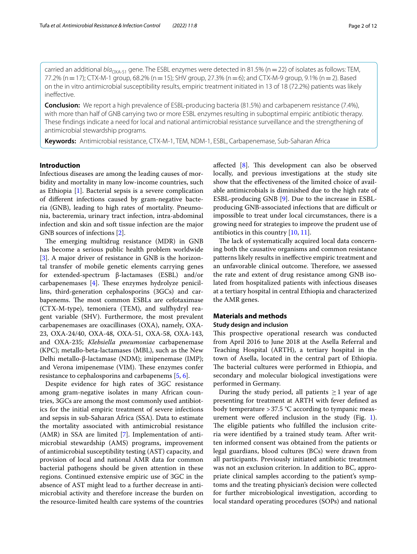carried an additional  $bI_{Q<sub>NA-51</sub>}$  gene. The ESBL enzymes were detected in 81.5% (n=22) of isolates as follows: TEM, 77.2% (n = 17); CTX-M-1 group, 68.2% (n = 15); SHV group, 27.3% (n = 6); and CTX-M-9 group, 9.1% (n = 2). Based on the in vitro antimicrobial susceptibility results, empiric treatment initiated in 13 of 18 (72.2%) patients was likely inefective.

**Conclusion:** We report a high prevalence of ESBL-producing bacteria (81.5%) and carbapenem resistance (7.4%), with more than half of GNB carrying two or more ESBL enzymes resulting in suboptimal empiric antibiotic therapy. These fndings indicate a need for local and national antimicrobial resistance surveillance and the strengthening of antimicrobial stewardship programs.

**Keywords:** Antimicrobial resistance, CTX-M-1, TEM, NDM-1, ESBL, Carbapenemase, Sub-Saharan Africa

## **Introduction**

Infectious diseases are among the leading causes of morbidity and mortality in many low-income countries, such as Ethiopia [\[1](#page-10-0)]. Bacterial sepsis is a severe complication of diferent infections caused by gram-negative bacteria (GNB), leading to high rates of mortality. Pneumonia, bacteremia, urinary tract infection, intra-abdominal infection and skin and soft tissue infection are the major GNB sources of infections [[2\]](#page-10-1).

The emerging multidrug resistance (MDR) in GNB has become a serious public health problem worldwide [[3\]](#page-10-2). A major driver of resistance in GNB is the horizontal transfer of mobile genetic elements carrying genes for extended-spectrum β-lactamases (ESBL) and/or carbapenemases  $[4]$  $[4]$ . These enzymes hydrolyze penicillins, third-generation cephalosporins (3GCs) and carbapenems. The most common ESBLs are cefotaximase (CTX-M-type), temoniera (TEM), and sulfhydryl reagent variable (SHV). Furthermore, the most prevalent carbapenemases are oxacillinases (OXA), namely, OXA-23, OXA-24/40, OXA-48, OXA-51, OXA-58, OXA-143, and OXA-235; *Klebsiella pneumoniae* carbapenemase (KPC); metallo-beta-lactamases (MBL), such as the New Delhi metallo-β-lactamase (NDM); imipenemase (IMP); and Verona imipenemase (VIM). These enzymes confer resistance to cephalosporins and carbapenems [\[5](#page-10-4), [6\]](#page-10-5).

Despite evidence for high rates of 3GC resistance among gram-negative isolates in many African countries, 3GCs are among the most commonly used antibiotics for the initial empiric treatment of severe infections and sepsis in sub-Saharan Africa (SSA). Data to estimate the mortality associated with antimicrobial resistance (AMR) in SSA are limited [\[7](#page-10-6)]. Implementation of antimicrobial stewardship (AMS) programs, improvement of antimicrobial susceptibility testing (AST) capacity, and provision of local and national AMR data for common bacterial pathogens should be given attention in these regions. Continued extensive empiric use of 3GC in the absence of AST might lead to a further decrease in antimicrobial activity and therefore increase the burden on the resource-limited health care systems of the countries affected [[8\]](#page-10-7). This development can also be observed locally, and previous investigations at the study site show that the efectiveness of the limited choice of available antimicrobials is diminished due to the high rate of ESBL-producing GNB [\[9\]](#page-10-8). Due to the increase in ESBLproducing GNB-associated infections that are difficult or impossible to treat under local circumstances, there is a growing need for strategies to improve the prudent use of antibiotics in this country [\[10,](#page-10-9) [11](#page-10-10)].

The lack of systematically acquired local data concerning both the causative organisms and common resistance patterns likely results in inefective empiric treatment and an unfavorable clinical outcome. Therefore, we assessed the rate and extent of drug resistance among GNB isolated from hospitalized patients with infectious diseases at a tertiary hospital in central Ethiopia and characterized the AMR genes.

## **Materials and methods**

## **Study design and inclusion**

This prospective operational research was conducted from April 2016 to June 2018 at the Asella Referral and Teaching Hospital (ARTH), a tertiary hospital in the town of Asella, located in the central part of Ethiopia. The bacterial cultures were performed in Ethiopia, and secondary and molecular biological investigations were performed in Germany.

During the study period, all patients  $\geq 1$  year of age presenting for treatment at ARTH with fever defned as body temperature  $>37.5$  °C according to tympanic meas-urement were offered inclusion in the study (Fig. [1](#page-2-0)). The eligible patients who fulfilled the inclusion criteria were identifed by a trained study team. After written informed consent was obtained from the patients or legal guardians, blood cultures (BCs) were drawn from all participants. Previously initiated antibiotic treatment was not an exclusion criterion. In addition to BC, appropriate clinical samples according to the patient's symptoms and the treating physician's decision were collected for further microbiological investigation, according to local standard operating procedures (SOPs) and national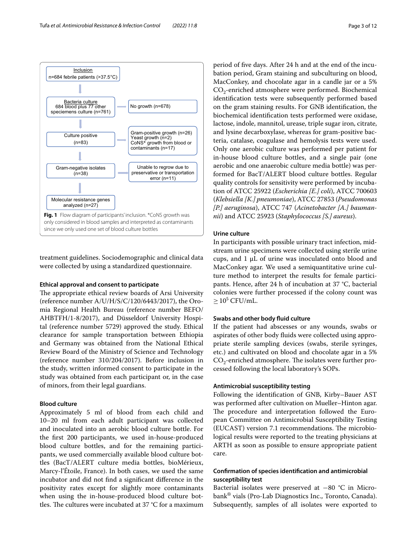

<span id="page-2-0"></span>treatment guidelines. Sociodemographic and clinical data were collected by using a standardized questionnaire.

## **Ethical approval and consent to participate**

The appropriate ethical review boards of Arsi University (reference number A/U/H/S/C/120/6443/2017), the Oromia Regional Health Bureau (reference number BEFO/ AHBTFH/1-8/2017), and Düsseldorf University Hospital (reference number 5729) approved the study. Ethical clearance for sample transportation between Ethiopia and Germany was obtained from the National Ethical Review Board of the Ministry of Science and Technology (reference number 310/204/2017). Before inclusion in the study, written informed consent to participate in the study was obtained from each participant or, in the case of minors, from their legal guardians.

## **Blood culture**

Approximately 5 ml of blood from each child and 10–20 ml from each adult participant was collected and inoculated into an aerobic blood culture bottle. For the frst 200 participants, we used in-house-produced blood culture bottles, and for the remaining participants, we used commercially available blood culture bottles (BacT/ALERT culture media bottles, bioMérieux, Marcy-l'Étoile, France). In both cases, we used the same incubator and did not fnd a signifcant diference in the positivity rates except for slightly more contaminants when using the in-house-produced blood culture bottles. The cultures were incubated at 37  $°C$  for a maximum

period of fve days. After 24 h and at the end of the incubation period, Gram staining and subculturing on blood, MacConkey, and chocolate agar in a candle jar or a 5%  $CO_2$ -enriched atmosphere were performed. Biochemical identifcation tests were subsequently performed based on the gram staining results. For GNB identifcation, the biochemical identifcation tests performed were oxidase, lactose, indole, mannitol, urease, triple sugar iron, citrate, and lysine decarboxylase, whereas for gram-positive bacteria, catalase, coagulase and hemolysis tests were used. Only one aerobic culture was performed per patient for in-house blood culture bottles, and a single pair (one aerobic and one anaerobic culture media bottle) was performed for BacT/ALERT blood culture bottles. Regular quality controls for sensitivity were performed by incubation of ATCC 25922 (*Escherichia [E.] coli*), ATCC 700603 (*Klebsiella [K.] pneumoniae*), ATCC 27853 (*Pseudomonas [P.] aeruginosa*), ATCC 747 (*Acinetobacter [A.] baumannii*) and ATCC 25923 (*Staphylococcus [S.] aureus*).

## **Urine culture**

In participants with possible urinary tract infection, midstream urine specimens were collected using sterile urine cups, and 1 μL of urine was inoculated onto blood and MacConkey agar. We used a semiquantitative urine culture method to interpret the results for female participants. Hence, after 24 h of incubation at 37 °C, bacterial colonies were further processed if the colony count was  $\geq 10^5$  CFU/mL.

#### **Swabs and other body fuid culture**

If the patient had abscesses or any wounds, swabs or aspirates of other body fuids were collected using appropriate sterile sampling devices (swabs, sterile syringes, etc.) and cultivated on blood and chocolate agar in a 5%  $CO<sub>2</sub>$ -enriched atmosphere. The isolates were further processed following the local laboratory's SOPs.

## **Antimicrobial susceptibility testing**

Following the identifcation of GNB, Kirby–Bauer AST was performed after cultivation on Mueller–Hinton agar. The procedure and interpretation followed the European Committee on Antimicrobial Susceptibility Testing (EUCAST) version 7.1 recommendations. The microbiological results were reported to the treating physicians at ARTH as soon as possible to ensure appropriate patient care.

## **Confrmation of species identifcation and antimicrobial susceptibility test**

Bacterial isolates were preserved at −80 °C in Microbank® vials (Pro-Lab Diagnostics Inc., Toronto, Canada). Subsequently, samples of all isolates were exported to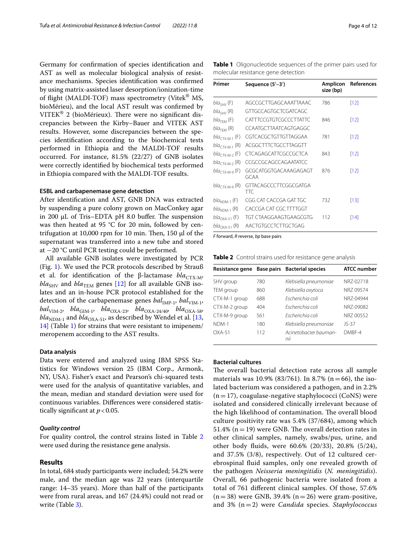Germany for confrmation of species identifcation and AST as well as molecular biological analysis of resistance mechanisms. Species identifcation was confrmed by using matrix-assisted laser desorption/ionization-time of flight (MALDI-TOF) mass spectrometry (Vitek<sup>®</sup> MS, bioMérieu), and the local AST result was confrmed by VITEK® 2 (bioMérieux). There were no significant discrepancies between the Kirby–Bauer and VITEK AST results. However, some discrepancies between the species identifcation according to the biochemical tests performed in Ethiopia and the MALDI-TOF results occurred. For instance, 81.5% (22/27) of GNB isolates were correctly identifed by biochemical tests performed in Ethiopia compared with the MALDI-TOF results.

## **ESBL and carbapenemase gene detection**

After identifcation and AST, GNB DNA was extracted by suspending a pure colony grown on MacConkey agar in 200  $\mu$ L of Tris–EDTA pH 8.0 buffer. The suspension was then heated at 95 °C for 20 min, followed by centrifugation at 10,000 rpm for 10 min. Then, 150  $\mu$ l of the supernatant was transferred into a new tube and stored at −20 °C until PCR testing could be performed.

All available GNB isolates were investigated by PCR (Fig. [1\)](#page-2-0). We used the PCR protocols described by Strauß et al. for identification of the β-lactamase *bla<sub>CTX-M</sub>*,  $bla<sub>SHV</sub>$  and  $bla<sub>TEM</sub>$  genes [\[12\]](#page-10-11) for all available GNB isolates and an in-house PCR protocol established for the detection of the carbapenemase genes *bal*<sub>IMP-1</sub>, *bal*<sub>VIM-1</sub>, *bal*<sub>VIM-2</sub>, *bla*<sub>GIM-1</sub>, *bla*<sub>OXA-23</sub>, *bla*<sub>OXA-24/40</sub>, *bla*<sub>OXA-58</sub>,  $bla_{\text{NDM-1}}$  and  $bla_{\text{OXA-51}}$ , as described by Wendel et al. [\[13](#page-10-12), [14\]](#page-10-13) (Table [1\)](#page-3-0) for strains that were resistant to imipenem/ meropenem according to the AST results.

## **Data analysis**

Data were entered and analyzed using IBM SPSS Statistics for Windows version 25 (IBM Corp., Armonk, NY, USA). Fisher's exact and Pearson's chi-squared tests were used for the analysis of quantitative variables, and the mean, median and standard deviation were used for continuous variables. Diferences were considered statistically significant at  $p < 0.05$ .

## *Quality control*

For quality control, the control strains listed in Table [2](#page-3-1) were used during the resistance gene analysis.

## **Results**

In total, 684 study participants were included; 54.2% were male, and the median age was 22 years (interquartile range: 14–35 years). More than half of the participants were from rural areas, and 167 (24.4%) could not read or write (Table [3\)](#page-4-0).

<span id="page-3-0"></span>**Table 1** Oligonucleotide sequences of the primer pairs used for molecular resistance gene detection

| AGCCGCTTGAGCAAATTAAAC<br>$bla_{SHV}$ (F)<br>786<br>$[12]$<br><b>GTTGCCAGTGCTCGATCAGC</b><br>$bla_{SHV}$ (R)<br>CATTTCCGTGTCGCCCTTATTC<br>$bla_{\text{TEM}}$ (F)<br>846<br>[12] |  |
|--------------------------------------------------------------------------------------------------------------------------------------------------------------------------------|--|
|                                                                                                                                                                                |  |
|                                                                                                                                                                                |  |
|                                                                                                                                                                                |  |
| CCAATGCTTAATCAGTGAGGC<br>$bla_{\text{TEM}}$ (R)                                                                                                                                |  |
| CGTCACGCTGTTGTTAGGAA<br>781<br>$[12]$<br>bla <sub>ctx-M-1</sub> (F)                                                                                                            |  |
| ACGGCTTTCTGCCTTAGGTT<br>bla <sub>ctx-M-1</sub> (R)                                                                                                                             |  |
| CTCAGAGCATTCGCCGCTCA<br>843<br>$[12]$<br>bla <sub>cty-M-2</sub> (F)                                                                                                            |  |
| CCGCCGCAGCCAGAATATCC<br>$bla_{CTX-M-2}$ (R)                                                                                                                                    |  |
| GCGCATGGTGACAAAGAGAGT<br>876<br>[12]<br>bla <sub>CTX-M-9</sub> (F)<br>GCAA                                                                                                     |  |
| GTTACAGCCCTTCGGCGATGA<br><i>bla<sub>CTX-M-9</sub></i> (R)<br>TTC                                                                                                               |  |
| CGG CAT CACCGA GAT TGC<br>732<br>$[13]$<br><i>bla</i> <sub>NDM-1</sub> (F)                                                                                                     |  |
| CACCGA CAT CGC TTTTGGT<br>$bla_{NDM-1}$ (R)                                                                                                                                    |  |
| TGT CTAAGGAAGTGAAGCGTG<br>112<br>[14]<br><i>bla</i> <sub>OXA-51</sub> (F)                                                                                                      |  |
| AACTGTGCCTCTTGCTGAG<br>bla <sub>OXA-51</sub> (R)                                                                                                                               |  |

*F* forward, *R* reverse, *bp* base pairs

<span id="page-3-1"></span>**Table 2** Control strains used for resistance gene analysis

|               |     | Resistance gene Base pairs Bacterial species | <b>ATCC number</b> |
|---------------|-----|----------------------------------------------|--------------------|
| SHV group     | 780 | Klebsiella pneumoniae                        | NR7-02718          |
| TEM group     | 860 | Klebsiella oxytoca                           | NR7 09574          |
| CTX-M-1 group | 688 | Escherichia coli                             | NR7-04944          |
| CTX-M-2 group | 404 | Escherichia coli                             | NR7-09082          |
| CTX-M-9 group | 561 | Escherichia coli                             | NR7 00552          |
| NDM-1         | 180 | Klebsiella pneumoniae                        | $JS-37$            |
| $OXA-51$      | 112 | Acinetobacter bauman-<br>nii                 | DMBF-4             |

## **Bacterial cultures**

The overall bacterial detection rate across all sample materials was 10.9% (83/761). In 8.7% (n = 66), the isolated bacterium was considered a pathogen, and in 2.2%  $(n=17)$ , coagulase-negative staphylococci (CoNS) were isolated and considered clinically irrelevant because of the high likelihood of contamination. The overall blood culture positivity rate was 5.4% (37/684), among which 51.4% ( $n=19$ ) were GNB. The overall detection rates in other clinical samples, namely, swabs/pus, urine, and other body fuids, were 60.6% (20/33), 20.8% (5/24), and 37.5% (3/8), respectively. Out of 12 cultured cerebrospinal fuid samples, only one revealed growth of the pathogen *Neisseria meningitidis* (*N. meningitidis*). Overall, 66 pathogenic bacteria were isolated from a total of 761 diferent clinical samples. Of those, 57.6%  $(n=38)$  were GNB, 39.4%  $(n=26)$  were gram-positive, and 3% (n=2) were *Candida* species. *Staphylococcus*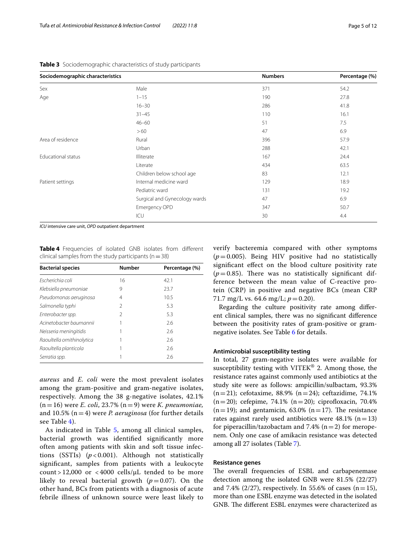| Sociodemographic characteristics |                               | <b>Numbers</b> | Percentage (%) |  |
|----------------------------------|-------------------------------|----------------|----------------|--|
| Sex                              | Male                          | 371            | 54.2           |  |
| Age                              | $1 - 15$                      | 190            | 27.8           |  |
|                                  | $16 - 30$                     | 286            | 41.8           |  |
|                                  | $31 - 45$                     | 110            | 16.1           |  |
|                                  | $46 - 60$                     | 51             | 7.5            |  |
|                                  | >60                           | 47             | 6.9            |  |
| Area of residence                | Rural                         | 396            | 57.9           |  |
|                                  | Urban                         | 288            | 42.1           |  |
| <b>Educational status</b>        | Illiterate                    | 167            | 24.4           |  |
|                                  | Literate                      | 434            | 63.5           |  |
|                                  | Children below school age     | 83             | 12.1           |  |
| Patient settings                 | Internal medicine ward        | 129            | 18.9           |  |
|                                  | Pediatric ward                | 131            | 19.2           |  |
|                                  | Surgical and Gynecology wards | 47             | 6.9            |  |
|                                  | Emergency OPD                 | 347            | 50.7           |  |
|                                  | ICU                           | 30             | 4.4            |  |

<span id="page-4-0"></span>**Table 3** Sociodemographic characteristics of study participants

*ICU* intensive care unit, *OPD* outpatient department

<span id="page-4-1"></span>**Table 4** Frequencies of isolated GNB isolates from diferent clinical samples from the study participants ( $n=38$ )

| <b>Bacterial species</b>   | <b>Number</b> | Percentage (%) |
|----------------------------|---------------|----------------|
| Escherichia coli           | 16            | 42.1           |
| Klebsiella pneumoniae      | 9             | 23.7           |
| Pseudomonas aeruginosa     | 4             | 10.5           |
| Salmonella typhi           | 2             | 5.3            |
| Enterobacter spp.          | 2             | 5.3            |
| Acinetobacter baumannii    |               | 2.6            |
| Neisseria meningitidis     |               | 2.6            |
| Raoultella ornithinolytica |               | 2.6            |
| Raoultella planticola      |               | 2.6            |
| Serratia spp.              |               | 2.6            |

*aureus* and *E. coli* were the most prevalent isolates among the gram-positive and gram-negative isolates, respectively. Among the 38 g-negative isolates, 42.1% (n=16) were *E. coli*, 23.7% (n=9) were *K. pneumoniae,* and 10.5% (n=4) were *P. aeruginosa* (for further details see Table [4\)](#page-4-1).

As indicated in Table [5](#page-5-0), among all clinical samples, bacterial growth was identifed signifcantly more often among patients with skin and soft tissue infections (SSTIs) (*p* < 0.001). Although not statistically signifcant, samples from patients with a leukocyte count > 12,000 or < 4000 cells/ $\mu$ L tended to be more likely to reveal bacterial growth  $(p=0.07)$ . On the other hand, BCs from patients with a diagnosis of acute febrile illness of unknown source were least likely to verify bacteremia compared with other symptoms  $(p=0.005)$ . Being HIV positive had no statistically signifcant efect on the blood culture positivity rate  $(p=0.85)$ . There was no statistically significant difference between the mean value of C-reactive protein (CRP) in positive and negative BCs (mean CRP 71.7 mg/L vs. 64.6 mg/L;  $p = 0.20$ ).

Regarding the culture positivity rate among diferent clinical samples, there was no signifcant diference between the positivity rates of gram-positive or gramnegative isolates. See Table [6](#page-5-1) for details.

## **Antimicrobial susceptibility testing**

In total, 27 gram-negative isolates were available for susceptibility testing with VITEK<sup>®</sup> 2. Among those, the resistance rates against commonly used antibiotics at the study site were as follows: ampicillin/sulbactam, 93.3%  $(n=21)$ ; cefotaxime, 88.9%  $(n=24)$ ; ceftazidime, 74.1%  $(n=20)$ ; cefepime, 74.1%  $(n=20)$ ; ciprofloxacin, 70.4%  $(n=19)$ ; and gentamicin, 63.0%  $(n=17)$ . The resistance rates against rarely used antibiotics were  $48.1\%$  (n=13) for piperacillin/tazobactam and 7.4% ( $n=2$ ) for meropenem. Only one case of amikacin resistance was detected among all 27 isolates (Table [7](#page-6-0)).

## **Resistance genes**

The overall frequencies of ESBL and carbapenemase detection among the isolated GNB were 81.5% (22/27) and 7.4% (2/27), respectively. In 55.6% of cases (n=15), more than one ESBL enzyme was detected in the isolated GNB. The different ESBL enzymes were characterized as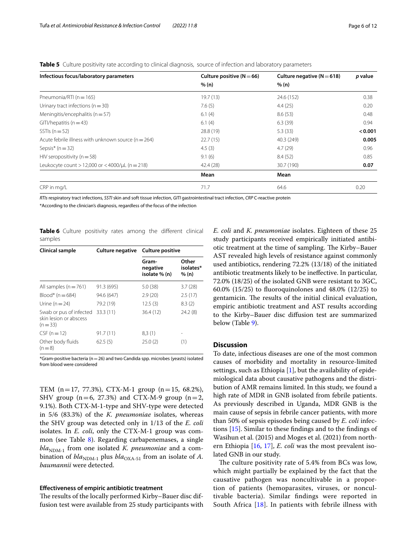<span id="page-5-0"></span>**Table 5** Culture positivity rate according to clinical diagnosis, source of infection and laboratory parameters

| Infectious focus/laboratory parameters                  | Culture positive ( $N = 66$ ) | Culture negative ( $N = 618$ ) | p value |
|---------------------------------------------------------|-------------------------------|--------------------------------|---------|
|                                                         | % (n)                         | % (n)                          |         |
| Pneumonia/RTI ( $n = 165$ )                             | 19.7(13)                      | 24.6 (152)                     | 0.38    |
| Urinary tract infections ( $n = 30$ )                   | 7.6(5)                        | 4.4(25)                        | 0.20    |
| Meningitis/encephalitis ( $n = 57$ )                    | 6.1(4)                        | 8.6(53)                        | 0.48    |
| $GIT$ /hepatitis (n = 43)                               | 6.1(4)                        | 6.3(39)                        | 0.94    |
| SSTIs $(n=52)$                                          | 28.8 (19)                     | 5.3(33)                        | < 0.001 |
| Acute febrile illness with unknown source ( $n = 264$ ) | 22.7(15)                      | 40.3 (249)                     | 0.005   |
| Sepsis* $(n=32)$                                        | 4.5(3)                        | 4.7(29)                        | 0.96    |
| HIV seropositivity ( $n = 58$ )                         | 9.1(6)                        | 8.4(52)                        | 0.85    |
| Leukocyte count $> 12,000$ or $< 4000/\mu L$ (n = 218)  | 42.4 (28)                     | 30.7 (190)                     | 0.07    |
|                                                         | Mean                          | Mean                           |         |
| CRP in mg/L                                             | 71.7                          | 64.6                           | 0.20    |

*RTIs* respiratory tract infections, *SSTI* skin and soft tissue infection, *GITI* gastrointestinal tract infection, *CRP* C-reactive protein

\*According to the clinician's diagnosis, regardless of the focus of the infection

<span id="page-5-1"></span>**Table 6** Culture positivity rates among the different clinical samples

| Clinical sample                                               | <b>Culture negative</b> | <b>Culture positive</b>            |                             |  |
|---------------------------------------------------------------|-------------------------|------------------------------------|-----------------------------|--|
|                                                               |                         | Gram-<br>negative<br>isolate % (n) | Other<br>isolates*<br>% (n) |  |
| All samples ( $n = 761$ )                                     | 91.3 (695)              | 5.0(38)                            | 3.7(28)                     |  |
| $Blood* (n = 684)$                                            | 94.6 (647)              | 2.9(20)                            | 2.5(17)                     |  |
| Urine $(n=24)$                                                | 79.2 (19)               | 12.5(3)                            | 8.3(2)                      |  |
| Swab or pus of infected<br>skin lesion or abscess<br>$(n=33)$ | 33.3(11)                | 36.4(12)                           | 24.2(8)                     |  |
| $CSF (n = 12)$                                                | 91.7(11)                | 8,3(1)                             |                             |  |
| Other body fluids<br>$(n=8)$                                  | 62.5(5)                 | 25.0(2)                            | (1)                         |  |

 $*$ Gram-positive bacteria (n = 26) and two Candida spp. microbes (yeasts) isolated from blood were considered

TEM (n=17, 77.3%), CTX-M-1 group (n=15, 68.2%), SHV group ( $n=6$ , 27.3%) and CTX-M-9 group ( $n=2$ , 9.1%). Both CTX-M-1-type and SHV-type were detected in 5/6 (83.3%) of the *K. pneumoniae* isolates, whereas the SHV group was detected only in 1/13 of the *E. coli* isolates. In *E. coli*, only the CTX-M-1 group was common (see Table [8](#page-7-0)). Regarding carbapenemases, a single  $bla_{NDM-1}$  from one isolated *K. pneumoniae* and a combination of  $bla_{\text{NDM-1}}$  plus  $bla_{\text{OXA-51}}$  from an isolate of *A*. *baumannii* were detected.

### **Efectiveness of empiric antibiotic treatment**

The results of the locally performed Kirby–Bauer disc diffusion test were available from 25 study participants with *E. coli* and *K. pneumoniae* isolates. Eighteen of these 25 study participants received empirically initiated antibiotic treatment at the time of sampling. The Kirby–Bauer AST revealed high levels of resistance against commonly used antibiotics, rendering 72.2% (13/18) of the initiated antibiotic treatments likely to be inefective. In particular, 72.0% (18/25) of the isolated GNB were resistant to 3GC, 60.0% (15/25) to fuoroquinolones and 48.0% (12/25) to gentamicin. The results of the initial clinical evaluation, empiric antibiotic treatment and AST results according to the Kirby–Bauer disc difusion test are summarized below (Table [9](#page-8-0)).

## **Discussion**

To date, infectious diseases are one of the most common causes of morbidity and mortality in resource-limited settings, such as Ethiopia  $[1]$  $[1]$ , but the availability of epidemiological data about causative pathogens and the distribution of AMR remains limited. In this study, we found a high rate of MDR in GNB isolated from febrile patients. As previously described in Uganda, MDR GNB is the main cause of sepsis in febrile cancer patients, with more than 50% of sepsis episodes being caused by *E. coli* infections [[15\]](#page-10-14). Similar to these fndings and to the fndings of Wasihun et al. (2015) and Moges et al. (2021) from northern Ethiopia [[16,](#page-10-15) [17\]](#page-10-16), *E. coli* was the most prevalent isolated GNB in our study.

The culture positivity rate of 5.4% from BCs was low, which might partially be explained by the fact that the causative pathogen was noncultivable in a proportion of patients (hemoparasites, viruses, or noncultivable bacteria). Similar fndings were reported in South Africa [[18\]](#page-10-17). In patients with febrile illness with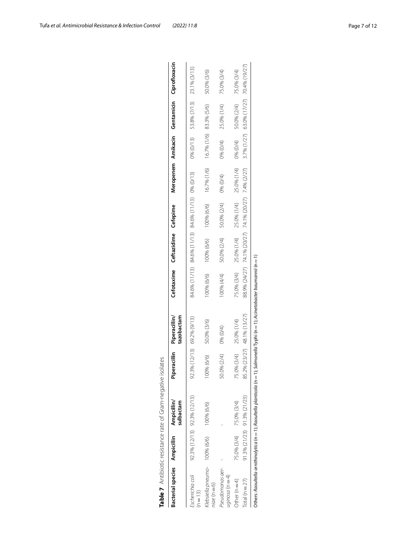|                                                 |                             | Table 7 Antibiotic resistance rate of Gram-negative i                         | solates                     |                                                               |             |                                                       |             |                                     |          |                                             |             |
|-------------------------------------------------|-----------------------------|-------------------------------------------------------------------------------|-----------------------------|---------------------------------------------------------------|-------------|-------------------------------------------------------|-------------|-------------------------------------|----------|---------------------------------------------|-------------|
| Bacterial species Ampicillin Ampicillin/        |                             | sulbactam                                                                     | iperacillin<br>۵            | tazobactam<br>Piperacillin/                                   |             | Cefotaxime Ceftazidime Cefepime                       |             |                                     |          | Meropenem Amikacin Gentamicin Ciprofloxacin |             |
| Escherichia coli<br>$(n = 13)$                  | 92.3% (12/13) 92.3% (12/13) |                                                                               | 92.3% (12/13) 69.2% (9/13)  |                                                               |             | 84.6% (11/13) 84.6% (11/13) 84.6% (11/13) 0% (0/13)   |             |                                     |          | 0% (0/13) 53.8% (7/13) 23.1% (3/13)         |             |
| Klebsiella pneumo- 100% (6/6)<br>$nice$ (n = 6) |                             | 100% (6/6)                                                                    | 100% (6/6)                  | 50.0% (3/6)                                                   | 100% (6/6)  | 100% (6/6)                                            | 100% (6/6)  | 16.7% (1/6) 16.7% (1/6) 83.3% (5/6) |          |                                             | 50.0% (3/6) |
| Pseudomonas aer-<br>$uginosa(n=4)$              |                             |                                                                               | 50.0% (2/4)                 | 0% (0/4)                                                      | 100% (4/4)  | 50.0% (2/4)                                           | 50.0% (2/4) | 0% (0/4)                            | 0% (0/4) | 25.0% (1/4)                                 | 75.0% (3/4) |
| Other ( $n = 4$ )                               | 75.0% (3/4)                 | 75.0% (3/4)                                                                   | 75.0% (3/4) 25.0% (1/4)     |                                                               | 75.0% (3/4) | 25.0% (1/4) 25.0% (1/4) 25.0% (1/4) 0% (0/4)          |             |                                     |          | 50.0% (2/4)                                 | 75.0% (3/4) |
| Total ( $n = 27$ )                              | 91.3% (21/23) 91.3% (21/23) |                                                                               | 85.2% (23/27) 48.1% (13/27) |                                                               |             | 88.9% (24/27) 74.1% (20/27) 74.1% (20/27) 7.4% (2/27) |             |                                     |          | 3.7% (1/27) 63.0% (17/27) 70.4% (19/27)     |             |
|                                                 |                             | Others: Raoultella ornithinolytica ( $n = 1$ ); Raoultella planticola ( $n =$ |                             | 1); Salmonella Typhi (n = 1); Acinetobacter baumannii (n = 1) |             |                                                       |             |                                     |          |                                             |             |

<span id="page-6-0"></span>

|   | ¢<br>j                     |   |
|---|----------------------------|---|
|   | Ì<br>ţ                     |   |
|   | ¢                          |   |
|   | i<br>Ĵ                     |   |
|   | ¢<br>¢                     | 1 |
|   | i<br>ś                     |   |
| I | j<br>j                     |   |
| ł | Ì                          |   |
|   | ¢<br>į<br>í                |   |
|   | $\mathbf$<br>i             |   |
|   | <b>CONTINUES</b><br>١<br>١ |   |
|   |                            |   |
|   | ţ                          |   |
|   | Ì<br>¢                     |   |
|   | î<br>ļ                     |   |
|   |                            |   |
|   |                            |   |
|   |                            |   |
|   | l                          |   |
|   |                            |   |

Tufa *et al. Antimicrobial Resistance & Infection Control (2022) 11:8* Page 7 of 12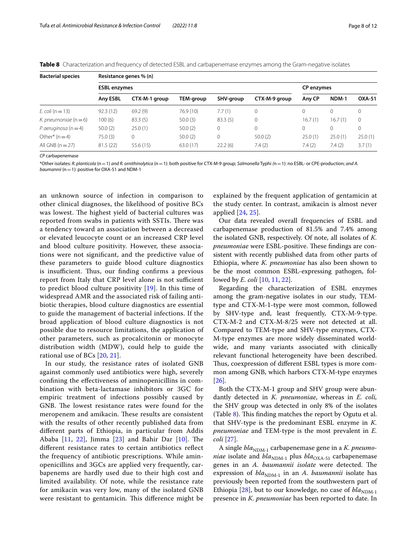<span id="page-7-0"></span>

|  |  |  |  |  | Table 8 Characterization and frequency of detected ESBL and carbapenemase enzymes among the Gram-negative isolates |
|--|--|--|--|--|--------------------------------------------------------------------------------------------------------------------|
|--|--|--|--|--|--------------------------------------------------------------------------------------------------------------------|

| <b>Bacterial species</b>  | Resistance genes % (n) |               |           |           |               |                   |          |               |  |  |
|---------------------------|------------------------|---------------|-----------|-----------|---------------|-------------------|----------|---------------|--|--|
|                           | <b>ESBL enzymes</b>    |               |           |           |               | <b>CP</b> enzymes |          |               |  |  |
|                           | <b>Anv ESBL</b>        | CTX-M-1 group | TEM-group | SHV-group | CTX-M-9 group | Any CP            | NDM-1    | <b>OXA-51</b> |  |  |
| $E$ . coli (n = 13)       | 92.3(12)               | 69.2(9)       | 76.9 (10) | 7.7(1)    | 0             | 0                 | 0        | $\mathbf 0$   |  |  |
| K. pneumoniae $(n=6)$     | 100 (6)                | 83.3(5)       | 50.0(3)   | 83.3(5)   | 0             | 16.7(1)           | 16.7(1)  | 0             |  |  |
| P. aeruginosa ( $n = 4$ ) | 50.0(2)                | 25.0(1)       | 50.0(2)   | $\Omega$  |               | 0                 | $\Omega$ | 0             |  |  |
| Other* $(n=4)$            | 75.0(3)                | $\mathbf 0$   | 50.0(2)   | 0         | 50.0(2)       | 25.0(1)           | 25.0(1)  | 25.0(1)       |  |  |
| All GNB $(n=27)$          | 81.5(22)               | 55.6(15)      | 63.0 (17) | 22.2(6)   | 7.4(2)        | 7.4(2)            | 7.4(2)   | 3.7(1)        |  |  |

*CP* carbapenemase

\*Other isolates*: R. planticola* (n=1) *and R. ornithinolytica* (n=1): both positive for CTX-M-9 group; *Salmonella* Typhi *(*n=1): no ESBL- or CPE-production; *and A. baumannii* (n=1): positive for OXA-51 and NDM-1

an unknown source of infection in comparison to other clinical diagnoses, the likelihood of positive BCs was lowest. The highest yield of bacterial cultures was reported from swabs in patients with SSTIs. There was a tendency toward an association between a decreased or elevated leucocyte count or an increased CRP level and blood culture positivity. However, these associations were not signifcant, and the predictive value of these parameters to guide blood culture diagnostics is insufficient. Thus, our finding confirms a previous report from Italy that CRP level alone is not sufficient to predict blood culture positivity [\[19](#page-10-18)]. In this time of widespread AMR and the associated risk of failing antibiotic therapies, blood culture diagnostics are essential to guide the management of bacterial infections. If the broad application of blood culture diagnostics is not possible due to resource limitations, the application of other parameters, such as procalcitonin or monocyte distribution width (MDW), could help to guide the rational use of BCs [[20](#page-10-19), [21](#page-10-20)].

In our study, the resistance rates of isolated GNB against commonly used antibiotics were high, severely confning the efectiveness of aminopenicillins in combination with beta-lactamase inhibitors or 3GC for empiric treatment of infections possibly caused by GNB. The lowest resistance rates were found for the meropenem and amikacin. These results are consistent with the results of other recently published data from diferent parts of Ethiopia, in particular from Addis Ababa  $[11, 22]$  $[11, 22]$  $[11, 22]$  $[11, 22]$ , Jimma  $[23]$  and Bahir Dar  $[10]$  $[10]$ . The diferent resistance rates to certain antibiotics refect the frequency of antibiotic prescriptions. While aminopenicillins and 3GCs are applied very frequently, carbapenems are hardly used due to their high cost and limited availability. Of note, while the resistance rate for amikacin was very low, many of the isolated GNB were resistant to gentamicin. This difference might be

explained by the frequent application of gentamicin at the study center. In contrast, amikacin is almost never applied [\[24,](#page-10-23) [25](#page-10-24)].

Our data revealed overall frequencies of ESBL and carbapenemase production of 81.5% and 7.4% among the isolated GNB, respectively. Of note, all isolates of *K. pneumoniae* were ESBL-positive. These findings are consistent with recently published data from other parts of Ethiopia, where *K. pneumoniae* has also been shown to be the most common ESBL-expressing pathogen, followed by *E. coli* [[10](#page-10-9), [11,](#page-10-10) [22](#page-10-21)].

Regarding the characterization of ESBL enzymes among the gram-negative isolates in our study, TEMtype and CTX-M-1-type were most common, followed by SHV-type and, least frequently, CTX-M-9-type. CTX-M-2 and CTX-M-8/25 were not detected at all. Compared to TEM-type and SHV-type enzymes, CTX-M-type enzymes are more widely disseminated worldwide, and many variants associated with clinically relevant functional heterogeneity have been described. Thus, coexpression of different ESBL types is more common among GNB, which harbors CTX-M-type enzymes [[26\]](#page-10-25).

Both the CTX-M-1 group and SHV group were abundantly detected in *K. pneumoniae*, whereas in *E. coli,* the SHV group was detected in only 8% of the isolates (Table  $8$ ). This finding matches the report by Ogutu et al. that SHV-type is the predominant ESBL enzyme in *K. pneumoniae* and TEM-type is the most prevalent in *E. coli* [\[27](#page-10-26)].

A single *bla*<sub>NDM-1</sub> carbapenemase gene in a *K. pneumoniae* isolate and  $bla_{\text{NDM-1}}$  plus  $bla_{\text{OXA-51}}$  carbapenemase genes in an *A. baumannii isolate* were detected. The expression of  $bla_{NDM-1}$  in an *A. baumannii* isolate has previously been reported from the southwestern part of Ethiopia [\[28\]](#page-10-27), but to our knowledge, no case of *bla*<sub>NDM-1</sub> presence in *K. pneumoniae* has been reported to date. In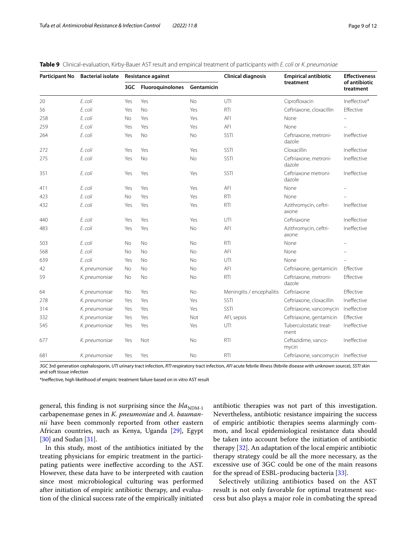<span id="page-8-0"></span>

|  |  |  |  |  | Table 9 Clinical-evaluation, Kirby-Bauer AST result and empirical treatment of participants with E. coli or K. pneumoniae |
|--|--|--|--|--|---------------------------------------------------------------------------------------------------------------------------|
|--|--|--|--|--|---------------------------------------------------------------------------------------------------------------------------|

| <b>Participant No</b> | <b>Bacterial isolate</b> |           | <b>Resistance against</b> |            | <b>Clinical diagnosis</b> | <b>Empirical antibiotic</b>         | <b>Effectiveness</b>       |
|-----------------------|--------------------------|-----------|---------------------------|------------|---------------------------|-------------------------------------|----------------------------|
|                       |                          | 3GC       | <b>Fluoroquinolones</b>   | Gentamicin |                           | treatment                           | of antibiotic<br>treatment |
| 20                    | E. coli                  | Yes       | Yes                       | <b>No</b>  | UTI                       | Ciprofloxacin                       | Ineffective*               |
| 56                    | E. coli                  | Yes       | <b>No</b>                 | Yes        | <b>RTI</b>                | Ceftriaxone, cloxacillin            | Effective                  |
| 258                   | E. coli                  | No        | Yes                       | Yes        | AFI                       | None                                |                            |
| 259                   | E. coli                  | Yes       | Yes                       | Yes        | AFI                       | None                                |                            |
| 264                   | E. coli                  | Yes       | No                        | No         | SSTI                      | Ceftriaxone, metroni-<br>dazole     | Ineffective                |
| 272                   | E. coli                  | Yes       | Yes                       | Yes        | SSTI                      | Cloxacillin                         | Ineffective                |
| 275                   | E. coli                  | Yes       | <b>No</b>                 | <b>No</b>  | SSTI                      | Ceftriaxone, metroni-<br>dazole     | Ineffective                |
| 351                   | E. coli                  | Yes       | Yes                       | Yes        | SSTI                      | Ceftriaxone metroni-<br>dazole      | Ineffective                |
| 411                   | E. coli                  | Yes       | Yes                       | Yes        | AFI                       | None                                |                            |
| 423                   | E. coli                  | <b>No</b> | Yes                       | Yes        | <b>RTI</b>                | None                                |                            |
| 432                   | E. coli                  | Yes       | Yes                       | Yes        | <b>RTI</b>                | Azithromycin, ceftri-<br>axone      | Ineffective                |
| 440                   | E. coli                  | Yes       | Yes                       | Yes        | UTI                       | Ceftriaxone                         | Ineffective                |
| 483                   | E. coli                  | Yes       | Yes                       | No         | AFI                       | Azithromycin, ceftri-<br>axone      | Ineffective                |
| 503                   | E. coli                  | <b>No</b> | <b>No</b>                 | No         | <b>RTI</b>                | None                                |                            |
| 568                   | E. coli                  | <b>No</b> | <b>No</b>                 | <b>No</b>  | AFI                       | None                                |                            |
| 639                   | E. coli                  | Yes       | <b>No</b>                 | No         | UTI                       | None                                |                            |
| 42                    | K. pneumoniae            | No        | <b>No</b>                 | No         | AFI                       | Ceftriaxone, gentamicin             | Effective                  |
| 59                    | K. pneumoniae            | No        | <b>No</b>                 | <b>No</b>  | <b>RTI</b>                | Ceftriaxone, metroni-<br>dazole     | Effective                  |
| 64                    | K. pneumoniae            | No        | Yes                       | No         | Meningitis / encephalitis | Ceftriaxone                         | Effective                  |
| 278                   | K. pneumoniae            | Yes       | Yes                       | Yes        | SSTI                      | Ceftriaxone, cloxacillin            | Ineffective                |
| 314                   | K. pneumoniae            | Yes       | Yes                       | Yes        | SSTI                      | Ceftriaxone, vancomycin Ineffective |                            |
| 332                   | K. pneumoniae            | Yes       | Yes                       | Not        | AFI, sepsis               | Ceftriaxone, gentamicin             | Effective                  |
| 545                   | K. pneumoniae            | Yes       | Yes                       | Yes        | UTI                       | Tuberculostatic treat-<br>ment      | Ineffective                |
| 677                   | K. pneumoniae            | Yes       | Not                       | No         | <b>RTI</b>                | Ceftazidime, vanco-<br>mycin        | Ineffective                |
| 681                   | K. pneumoniae            | Yes       | Yes                       | <b>No</b>  | <b>RTI</b>                | Ceftriaxone, vancomycin Ineffective |                            |

*3GC* 3rd generation cephalosporin, *UTI* urinary tract infection, *RTI* respiratory tract infection, *AFI* acute febrile illness (febrile disease with unknown source), *SSTI* skin and soft tissue infection

\*Inefective, high likelihood of empiric treatment failure based on in vitro AST result

general, this finding is not surprising since the  $bla_{NDM-1}$ carbapenemase genes in *K. pneumoniae* and *A. baumannii* have been commonly reported from other eastern African countries, such as Kenya, Uganda [[29\]](#page-10-28), Egypt [[30\]](#page-10-29) and Sudan [[31\]](#page-11-0).

In this study, most of the antibiotics initiated by the treating physicians for empiric treatment in the participating patients were inefective according to the AST. However, these data have to be interpreted with caution since most microbiological culturing was performed after initiation of empiric antibiotic therapy, and evaluation of the clinical success rate of the empirically initiated antibiotic therapies was not part of this investigation. Nevertheless, antibiotic resistance impairing the success of empiric antibiotic therapies seems alarmingly common, and local epidemiological resistance data should be taken into account before the initiation of antibiotic therapy [\[32\]](#page-11-1). An adaptation of the local empiric antibiotic therapy strategy could be all the more necessary, as the excessive use of 3GC could be one of the main reasons for the spread of ESBL-producing bacteria [\[33](#page-11-2)].

Selectively utilizing antibiotics based on the AST result is not only favorable for optimal treatment success but also plays a major role in combating the spread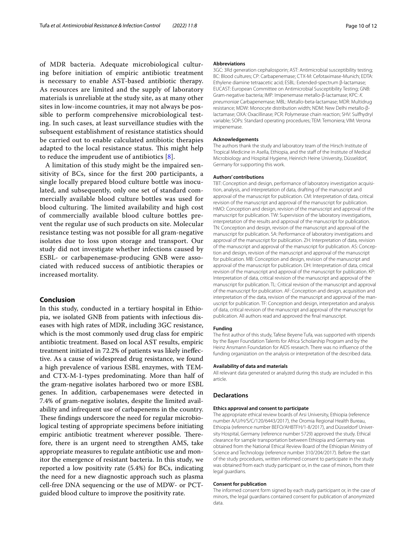of MDR bacteria. Adequate microbiological culturing before initiation of empiric antibiotic treatment is necessary to enable AST-based antibiotic therapy. As resources are limited and the supply of laboratory materials is unreliable at the study site, as at many other sites in low-income countries, it may not always be possible to perform comprehensive microbiological testing. In such cases, at least surveillance studies with the subsequent establishment of resistance statistics should be carried out to enable calculated antibiotic therapies adapted to the local resistance status. This might help to reduce the imprudent use of antibiotics [\[8](#page-10-7)].

A limitation of this study might be the impaired sensitivity of BCs, since for the frst 200 participants, a single locally prepared blood culture bottle was inoculated, and subsequently, only one set of standard commercially available blood culture bottles was used for blood culturing. The limited availability and high cost of commercially available blood culture bottles prevent the regular use of such products on site. Molecular resistance testing was not possible for all gram-negative isolates due to loss upon storage and transport. Our study did not investigate whether infections caused by ESBL- or carbapenemase-producing GNB were associated with reduced success of antibiotic therapies or increased mortality.

### **Conclusion**

In this study, conducted in a tertiary hospital in Ethiopia, we isolated GNB from patients with infectious diseases with high rates of MDR, including 3GC resistance, which is the most commonly used drug class for empiric antibiotic treatment. Based on local AST results, empiric treatment initiated in 72.2% of patients was likely inefective. As a cause of widespread drug resistance, we found a high prevalence of various ESBL enzymes, with TEMand CTX-M-1-types predominating. More than half of the gram-negative isolates harbored two or more ESBL genes. In addition, carbapenemases were detected in 7.4% of gram-negative isolates, despite the limited availability and infrequent use of carbapenems in the country. These findings underscore the need for regular microbiological testing of appropriate specimens before initiating empiric antibiotic treatment wherever possible. Therefore, there is an urgent need to strengthen AMS, take appropriate measures to regulate antibiotic use and monitor the emergence of resistant bacteria. In this study, we reported a low positivity rate (5.4%) for BCs, indicating the need for a new diagnostic approach such as plasma cell-free DNA sequencing or the use of MDW- or PCTguided blood culture to improve the positivity rate.

#### **Abbreviations**

3GC: 3Rd generation cephalosporin; AST: Antimicrobial susceptibility testing; BC: Blood cultures; CP: Carbapenemase; CTX-M: Cefotaximase-Munich; EDTA: Ethylene diamine tetraacetic acid; ESBL: Extended-spectrum β-lactamase; EUCAST: European Committee on Antimicrobial Susceptibility Testing; GNB: Gram-negative bacteria; IMP: Imipenemase metallo-β-lactamase; KPC: *K. pneumoniae* Carbapenemase; MBL: Metallo-beta-lactamase; MDR: Multidrug resistance; MDW: Monocyte distribution width; NDM: New Delhi metallo-βlactamase; OXA: Oxacillinase; PCR: Polymerase chain reaction; SHV: Sulfhydryl variable; SOPs: Standard operating procedures; TEM: Temoniera; VIM: Verona imipenemase.

#### **Acknowledgements**

The authors thank the study and laboratory team of the Hirsch Institute of Tropical Medicine in Asella, Ethiopia, and the staff of the Institute of Medical Microbiology and Hospital Hygiene, Heinrich Heine University, Düsseldorf, Germany for supporting this work.

#### **Authors' contributions**

TBT: Conception and design, performance of laboratory investigation acquisition, analysis, and interpretation of data, drafting of the manuscript and approval of the manuscript for publication. CM: Interpretation of data, critical revision of the manuscript and approval of the manuscript for publication. HMO: Conception and design, revision of the manuscript and approval of the manuscript for publication. TW: Supervision of the laboratory investigations, interpretation of the results and approval of the manuscript for publication. TN: Conception and design, revision of the manuscript and approval of the manuscript for publication. SA: Performance of laboratory investigations and approval of the manuscript for publication. ZH: Interpretation of data, revision of the manuscript and approval of the manuscript for publication. AS: Conception and design, revision of the manuscript and approval of the manuscript for publication. MB: Conception and design, revision of the manuscript and approval of the manuscript for publication. DH: Interpretation of data, critical revision of the manuscript and approval of the manuscript for publication. KP: Interpretation of data, critical revision of the manuscript and approval of the manuscript for publication. TL: Critical revision of the manuscript and approval of the manuscript for publication. AF: Conception and design, acquisition and interpretation of the data, revision of the manuscript and approval of the manuscript for publication. TF: Conception and design, interpretation and analysis of data, critical revision of the manuscript and approval of the manuscript for publication. All authors read and approved the fnal manuscript.

#### **Funding**

The frst author of this study, Tafese Beyene Tufa, was supported with stipends by the Bayer Foundation Talents for Africa Scholarship Program and by the Heinz Ansmann Foundation for AIDS research. There was no infuence of the funding organization on the analysis or interpretation of the described data.

#### **Availability of data and materials**

All relevant data generated or analyzed during this study are included in this article.

#### **Declarations**

### **Ethics approval and consent to participate**

The appropriate ethical review boards of Arsi University, Ethiopia (reference number A/U/H/S/C/120/6443/2017), the Oromia Regional Health Bureau, Ethiopia (reference number BEFO/AHBTFH/1-8/2017), and Düsseldorf University Hospital, Germany (reference number 5729) approved the study. Ethical clearance for sample transportation between Ethiopia and Germany was obtained from the National Ethical Review Board of the Ethiopian Ministry of Science and Technology (reference number 310/204/2017). Before the start of the study procedures, written informed consent to participate in the study was obtained from each study participant or, in the case of minors, from their legal guardians.

#### **Consent for publication**

The informed consent form signed by each study participant or, in the case of minors, the legal guardians contained consent for publication of anonymized data.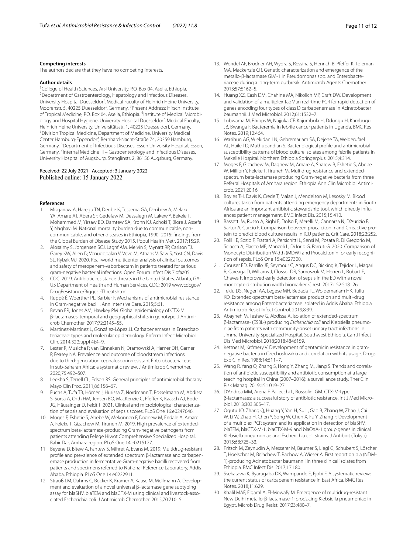#### **Competing interests**

The authors declare that they have no competing interests.

## **Author details**

<sup>1</sup>College of Health Sciences, Arsi University, P.O. Box 04, Asella, Ethiopia.<br><sup>2</sup>Department of Gastroenterology, Henatology and Infectious Diseases. Department of Gastroenterology, Hepatology and Infectious Diseases, University Hospital Duesseldorf, Medical Faculty of Heinrich Heine University, Moorenstr. 5, 40225 Duesseldorf, Germany. <sup>3</sup> Present Address: Hirsch Institute of Tropical Medicine, P.O. Box 04, Asella, Ethiopia. <sup>4</sup>Institute of Medical Microbiology and Hospital Hygiene, University Hospital Duesseldorf, Medical Faculty, Heinrich Heine University, Universitätsstr. 1, 40225 Duesseldorf, Germany. 5 Division Tropical Medicine, Department of Medicine, University Medical Center Hamburg-Eppendorf, Bernhard-Nacht-Straße 74, 20359 Hamburg, Germany. <sup>6</sup>Department of Infectious Diseases, Essen University Hospital, Essen, Germany. <sup>7</sup>Internal Medicine III - Gastroenterology and Infectious Diseases, University Hospital of Augsburg, Stenglinstr. 2, 86156 Augsburg, Germany.

## Received: 22 July 2021 Accepted: 3 January 2022 Published online: 15 January 2022

#### **References**

- <span id="page-10-0"></span>1. Misganaw A, Haregu TN, Deribe K, Tessema GA, Deribew A, Melaku YA, Amare AT, Abera SF, Gedefaw M, Dessalegn M, Lakew Y, Bekele T, Mohammed M, Yirsaw BD, Damtew SA, Krohn KJ, Achoki T, Blore J, Assefa Y, Naghavi M. National mortality burden due to communicable, noncommunicable, and other diseases in Ethiopia, 1990–2015: fndings from the Global Burden of Disease Study 2015. Popul Health Metr. 2017;15:29.
- <span id="page-10-1"></span>2. Alosaimy S, Jorgensen SCJ, Lagnf AM, Melvin S, Mynatt RP, Carlson TJ, Garey KW, Allen D, Venugopalan V, Veve M, Athans V, Saw S, Yost CN, Davis SL, Rybak MJ. 2020. Real-world multicenter analysis of clinical outcomes and safety of meropenem-vaborbactam in patients treated for serious gram-negative bacterial infections. Open Forum Infect Dis 7:ofaa051.
- <span id="page-10-2"></span>3. CDC. 2019. Antibiotic resistance threats in the United States. Atlanta, GA: US Department of Health and Human Services, CDC; 2019 wwwcdcgov/ DrugResistance/Biggest-Threatshtml.
- <span id="page-10-3"></span>4. Ruppé É, Woerther PL, Barbier F. Mechanisms of antimicrobial resistance in Gram-negative bacilli. Ann Intensive Care. 2015;5:61.
- <span id="page-10-4"></span>5. Bevan ER, Jones AM, Hawkey PM. Global epidemiology of CTX-M β-lactamases: temporal and geographical shifts in genotype. J Antimicrob Chemother. 2017;72:2145–55.
- <span id="page-10-5"></span>6. Martínez-Martínez L, González-López JJ. Carbapenemases in Enterobacteriaceae: types and molecular epidemiology. Enferm Infecc Microbiol Clin. 2014;32(Suppl 4):4–9.
- <span id="page-10-6"></span>7. Lester R, Musicha P, van Ginneken N, Dramowski A, Hamer DH, Garner P, Feasey NA. Prevalence and outcome of bloodstream infections due to third-generation cephalosporin-resistant Enterobacteriaceae in sub-Saharan Africa: a systematic review. J Antimicrob Chemother. 2020;75:492–507.
- <span id="page-10-7"></span>8. Leekha S, Terrell CL, Edson RS. General principles of antimicrobial therapy. Mayo Clin Proc. 2011;86:156–67.
- <span id="page-10-8"></span>9. Fuchs A, Tufa TB, Hörner J, Hurissa Z, Nordmann T, Bosselmann M, Abdissa S, Sorsa A, Orth HM, Jensen BO, MacKenzie C, Pfeffer K, Kaasch AJ, Bode JG, Häussinger D, Feldt T. 2021. Clinical and microbiological characterization of sepsis and evaluation of sepsis scores. PLoS One 16:e0247646.
- <span id="page-10-9"></span>10. Moges F, Eshetie S, Abebe W, Mekonnen F, Dagnew M, Endale A, Amare A, Feleke T, Gizachew M, Tiruneh M. 2019. High prevalence of extendedspectrum beta-lactamase-producing Gram-negative pathogens from patients attending Felege Hiwot Comprehensive Specialized Hospital, Bahir Dar, Amhara region. PLoS One 14:e0215177.
- <span id="page-10-10"></span>11. Beyene D, Bitew A, Fantew S, Mihret A, Evans M. 2019. Multidrug-resistant profle and prevalence of extended spectrum β-lactamase and carbapenemase production in fermentative Gram-negative bacilli recovered from patients and specimens referred to National Reference Laboratory, Addis Ababa, Ethiopia. PLoS One 14:e0222911.
- <span id="page-10-11"></span>12. Strauß LM, Dahms C, Becker K, Kramer A, Kaase M, Mellmann A. Development and evaluation of a novel universal β-lactamase gene subtyping assay for blaSHV, blaTEM and blaCTX-M using clinical and livestock-associated Escherichia coli. J Antimicrob Chemother. 2015;70:710–5.
- <span id="page-10-12"></span>13. Wendel AF, Brodner AH, Wydra S, Ressina S, Henrich B, Pfeffer K, Toleman MA, Mackenzie CR. Genetic characterization and emergence of the metallo-β-lactamase GIM-1 in Pseudomonas spp. and Enterobacteriaceae during a long-term outbreak. Antimicrob Agents Chemother. 2013;57:5162–5.
- <span id="page-10-13"></span>14. Huang XZ, Cash DM, Chahine MA, Nikolich MP, Craft DW. Development and validation of a multiplex TaqMan real-time PCR for rapid detection of genes encoding four types of class D carbapenemase in Acinetobacter baumannii. J Med Microbiol. 2012;61:1532–7.
- <span id="page-10-14"></span>15. Lubwama M, Phipps W, Najjuka CF, Kajumbula H, Ddungu H, Kambugu JB, Bwanga F. Bacteremia in febrile cancer patients in Uganda. BMC Res Notes. 2019;12:464.
- <span id="page-10-15"></span>16. Wasihun AG, Wlekidan LN, Gebremariam SA, Dejene TA, Welderufael AL, Haile TD, Muthupandian S. Bacteriological profle and antimicrobial susceptibility patterns of blood culture isolates among febrile patients in Mekelle Hospital. Northern Ethiopia Springerplus. 2015;4:314.
- <span id="page-10-16"></span>17. Moges F, Gizachew M, Dagnew M, Amare A, Sharew B, Eshetie S, Abebe W, Million Y, Feleke T, Tiruneh M. Multidrug resistance and extendedspectrum beta-lactamase producing Gram-negative bacteria from three Referral Hospitals of Amhara region. Ethiopia Ann Clin Microbiol Antimicrob. 2021;20:16.
- <span id="page-10-17"></span>18. Boyles TH, Davis K, Crede T, Malan J, Mendelson M, Lesosky M. Blood cultures taken from patients attending emergency departments in South Africa are an important antibiotic stewardship tool, which directly infuences patient management. BMC Infect Dis. 2015;15:410.
- <span id="page-10-18"></span>19. Bassetti M, Russo A, Righi E, Dolso E, Merelli M, Cannarsa N, D'Aurizio F, Sartor A, Curcio F. Comparison between procalcitonin and C-reactive protein to predict blood culture results in ICU patients. Crit Care. 2018;22:252.
- <span id="page-10-19"></span>20. Polilli E, Sozio F, Frattari A, Persichitti L, Sensi M, Posata R, Di Gregorio M, Sciacca A, Flacco ME, Manzoli L, Di Iorio G, Parruti G. 2020. Comparison of Monocyte Distribution Width (MDW) and Procalcitonin for early recognition of sepsis. PLoS One 15:e0227300.
- <span id="page-10-20"></span>21. Crouser ED, Parrillo JE, Seymour C, Angus DC, Bicking K, Tejidor L, Magari R, Careaga D, Williams J, Closser DR, Samoszuk M, Herren L, Robart E, Chaves F. Improved early detection of sepsis in the ED with a novel monocyte distribution width biomarker. Chest. 2017;152:518–26.
- <span id="page-10-21"></span>22. Teklu DS, Negeri AA, Legese MH, Bedada TL, Woldemariam HK, Tullu KD. Extended-spectrum beta-lactamase production and multi-drug resistance among Enterobacteriaceae isolated in Addis Ababa. Ethiopia Antimicrob Resist Infect Control. 2019;8:39.
- <span id="page-10-22"></span>23. Abayneh M, Tesfaw G, Abdissa A. Isolation of extended-spectrum β-lactamase- (ESBL-) producing *Escherichia coli* and Klebsiella pneumoniae from patients with community-onset urinary tract infections in Jimma University Specialized Hospital, Southwest Ethiopia. Can J Infect Dis Med Microbiol. 2018;2018:4846159.
- <span id="page-10-23"></span>24. Kettner M, Krćméry V. Development of gentamicin resistance in gramnegative bacteria in Czechoslovakia and correlation with its usage. Drugs Exp Clin Res. 1988;14:511–7.
- <span id="page-10-24"></span>25. Wang R, Yang Q, Zhang S, Hong Y, Zhang M, Jiang S. Trends and correlation of antibiotic susceptibility and antibiotic consumption at a large teaching hospital in China (2007–2016): a surveillance study. Ther Clin Risk Manag. 2019;15:1019–27.
- <span id="page-10-25"></span>26. D'Andrea MM, Arena F, Pallecchi L, Rossolini GM. CTX-M-type β-lactamases: a successful story of antibiotic resistance. Int J Med Microbiol. 2013;303:305–17.
- <span id="page-10-26"></span>27. Ogutu JO, Zhang Q, Huang Y, Yan H, Su L, Gao B, Zhang W, Zhao J, Cai W, Li W, Zhao H, Chen Y, Song W, Chen X, Fu Y, Zhang F. Development of a multiplex PCR system and its application in detection of blaSHV, blaTEM, blaCTX-M-1, blaCTX-M-9 and blaOXA-1 group genes in clinical Klebsiella pneumoniae and Escherichia coli strains. J Antibiot (Tokyo). 2015;68:725–33.
- <span id="page-10-27"></span>28. Pritsch M, Zeynudin A, Messerer M, Baumer S, Liegl G, Schubert S, Löscher T, Hoelscher M, Belachew T, Rachow A, Wieser A. First report on bla (NDM-1)-producing Acinetobacter baumannii in three clinical isolates from Ethiopia. BMC Infect Dis. 2017;17:180.
- <span id="page-10-28"></span>29. Ssekatawa K, Byarugaba DK, Wampande E, Ejobi F. A systematic review: the current status of carbapenem resistance in East Africa. BMC Res Notes. 2018;11:629.
- <span id="page-10-29"></span>30. Khalil MAF, Elgaml A, El-Mowafy M. Emergence of multidrug-resistant New Delhi metallo-β-lactamase-1-producing Klebsiella pneumoniae in Egypt. Microb Drug Resist. 2017;23:480–7.